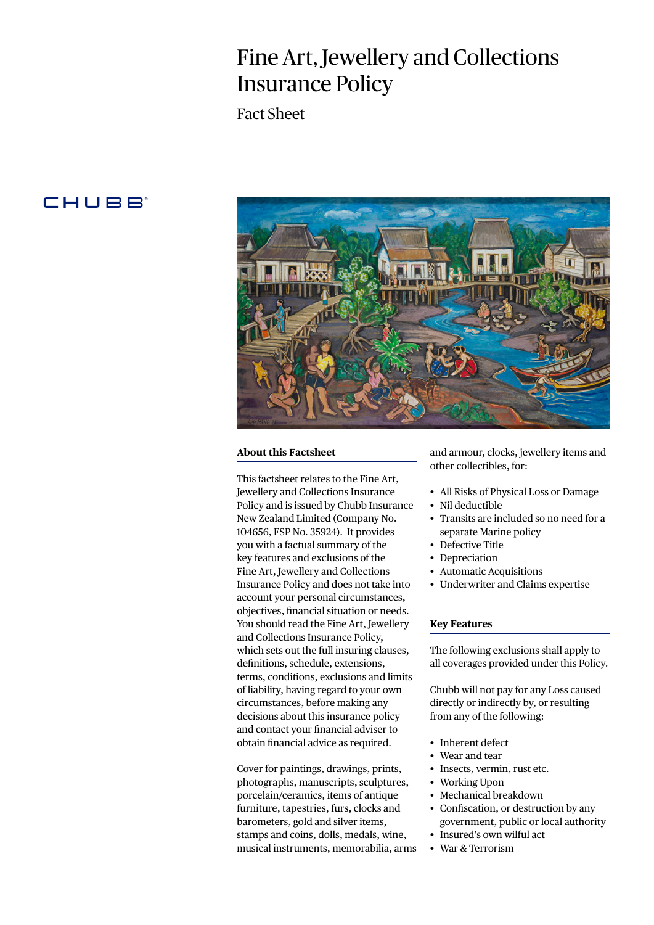# Fine Art, Jewellery and Collections Insurance Policy

Fact Sheet

# **CHUBB**



### **About this Factsheet**

This factsheet relates to the Fine Art, Jewellery and Collections Insurance Policy and is issued by Chubb Insurance New Zealand Limited (Company No. 104656, FSP No. 35924). It provides you with a factual summary of the key features and exclusions of the Fine Art, Jewellery and Collections Insurance Policy and does not take into account your personal circumstances, objectives, financial situation or needs. You should read the Fine Art, Jewellery and Collections Insurance Policy, which sets out the full insuring clauses, definitions, schedule, extensions, terms, conditions, exclusions and limits of liability, having regard to your own circumstances, before making any decisions about this insurance policy and contact your financial adviser to obtain financial advice as required.

Cover for paintings, drawings, prints, photographs, manuscripts, sculptures, porcelain/ceramics, items of antique furniture, tapestries, furs, clocks and barometers, gold and silver items, stamps and coins, dolls, medals, wine, musical instruments, memorabilia, arms and armour, clocks, jewellery items and other collectibles, for:

- All Risks of Physical Loss or Damage
- Nil deductible
- Transits are included so no need for a separate Marine policy
- Defective Title
- Depreciation
- Automatic Acquisitions
- Underwriter and Claims expertise

# **Key Features**

The following exclusions shall apply to all coverages provided under this Policy.

Chubb will not pay for any Loss caused directly or indirectly by, or resulting from any of the following:

- Inherent defect
- Wear and tear
- Insects, vermin, rust etc.
- Working Upon
- Mechanical breakdown
- Confiscation, or destruction by any government, public or local authority
- Insured's own wilful act
- War & Terrorism